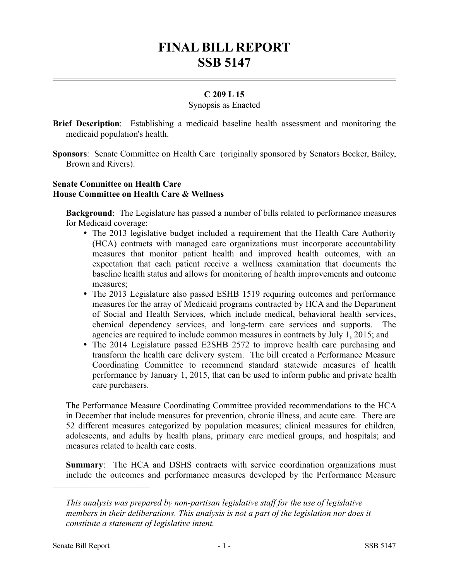# **FINAL BILL REPORT SSB 5147**

## **C 209 L 15**

### Synopsis as Enacted

- **Brief Description**: Establishing a medicaid baseline health assessment and monitoring the medicaid population's health.
- **Sponsors**: Senate Committee on Health Care (originally sponsored by Senators Becker, Bailey, Brown and Rivers).

## **Senate Committee on Health Care House Committee on Health Care & Wellness**

**Background**: The Legislature has passed a number of bills related to performance measures for Medicaid coverage:

- The 2013 legislative budget included a requirement that the Health Care Authority (HCA) contracts with managed care organizations must incorporate accountability measures that monitor patient health and improved health outcomes, with an expectation that each patient receive a wellness examination that documents the baseline health status and allows for monitoring of health improvements and outcome measures;
- The 2013 Legislature also passed ESHB 1519 requiring outcomes and performance measures for the array of Medicaid programs contracted by HCA and the Department of Social and Health Services, which include medical, behavioral health services, chemical dependency services, and long-term care services and supports. The agencies are required to include common measures in contracts by July 1, 2015; and
- The 2014 Legislature passed E2SHB 2572 to improve health care purchasing and transform the health care delivery system. The bill created a Performance Measure Coordinating Committee to recommend standard statewide measures of health performance by January 1, 2015, that can be used to inform public and private health care purchasers.

The Performance Measure Coordinating Committee provided recommendations to the HCA in December that include measures for prevention, chronic illness, and acute care. There are 52 different measures categorized by population measures; clinical measures for children, adolescents, and adults by health plans, primary care medical groups, and hospitals; and measures related to health care costs.

**Summary**: The HCA and DSHS contracts with service coordination organizations must include the outcomes and performance measures developed by the Performance Measure

––––––––––––––––––––––

*This analysis was prepared by non-partisan legislative staff for the use of legislative members in their deliberations. This analysis is not a part of the legislation nor does it constitute a statement of legislative intent.*